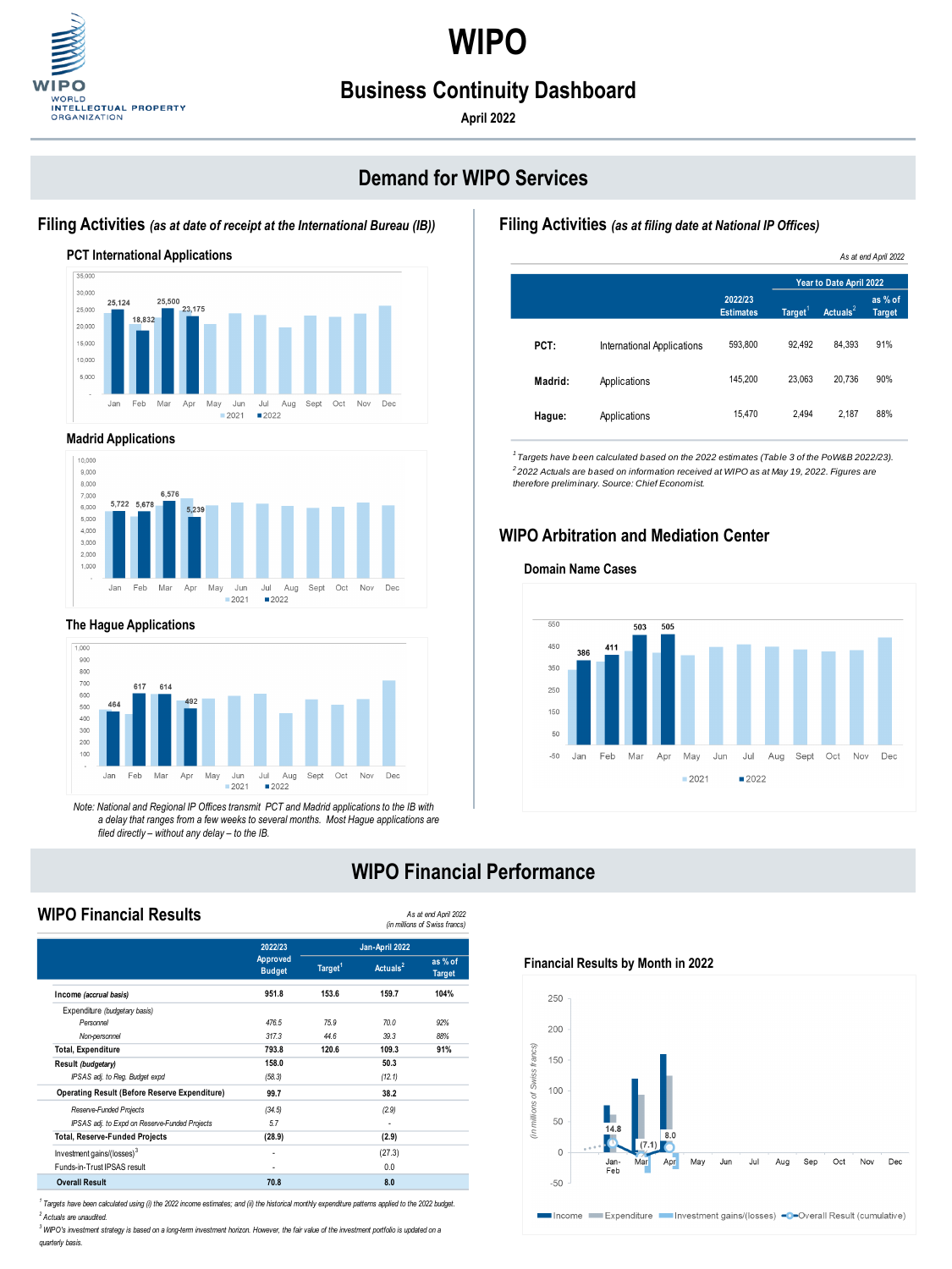**WIPO** 



# **Business Continuity Dashboard**

**April 2022**

# **Demand for WIPO Services**

## **Filing Activities** *(as at filing date at National IP Offices)*



#### **Madrid Applications**



#### **The Hague Applications**



#### **Filing Activities** *(as at date of receipt at the International Bureau (IB))*

*Note: National and Regional IP Offices transmit PCT and Madrid applications to the IB with a delay that ranges from a few weeks to several months. Most Hague applications are filed directly – without any delay – to the IB.*

## **WIPO Arbitration and Mediation Center**

## **WIPO Financial Performance**

## **WIPO Financial Results**



#### **Financial Results by Month in 2022**

#### **Domain Name Cases**



|         |                                   |                             | As at end April 2022    |             |                          |  |
|---------|-----------------------------------|-----------------------------|-------------------------|-------------|--------------------------|--|
|         |                                   |                             | Year to Date April 2022 |             |                          |  |
|         |                                   | 2022/23<br><b>Estimates</b> | Target $1$              | Actuals $2$ | as % of<br><b>Target</b> |  |
| PCT:    | <b>International Applications</b> | 593,800                     | 92,492                  | 84,393      | 91%                      |  |
| Madrid: | Applications                      | 145,200                     | 23,063                  | 20,736      | 90%                      |  |
| Hague:  | Applications                      | 15,470                      | 2,494                   | 2,187       | 88%                      |  |

*1 Targets have been calculated based on the 2022 estimates (Table 3 of the PoW&B 2022/23). 2 2022 Actuals are based on information received at WIPO as at May 19, 2022. Figures are therefore preliminary. Source: Chief Economist.*

*As at end April 2022 (in millions of Swiss francs)*

|                                                      | 2022/23                          | Jan-April 2022      |             |                          |
|------------------------------------------------------|----------------------------------|---------------------|-------------|--------------------------|
|                                                      | <b>Approved</b><br><b>Budget</b> | Target <sup>1</sup> | Actuals $2$ | as % of<br><b>Target</b> |
| Income (accrual basis)                               | 951.8                            | 153.6               | 159.7       | 104%                     |
| Expenditure (budgetary basis)                        |                                  |                     |             |                          |
| Personnel                                            | 476.5                            | 75.9                | 70.0        | 92%                      |
| Non-personnel                                        | 317.3                            | 44.6                | 39.3        | 88%                      |
| <b>Total, Expenditure</b>                            | 793.8                            | 120.6               | 109.3       | 91%                      |
| Result (budgetary)                                   | 158.0                            |                     | 50.3        |                          |
| IPSAS adj. to Reg. Budget expd                       | (58.3)                           |                     | (12.1)      |                          |
| <b>Operating Result (Before Reserve Expenditure)</b> | 99.7                             |                     | 38.2        |                          |
| Reserve-Funded Projects                              | (34.5)                           |                     | (2.9)       |                          |
| IPSAS adj. to Expd on Reserve-Funded Projects        | 5.7                              |                     | -           |                          |
| <b>Total, Reserve-Funded Projects</b>                | (28.9)                           |                     | (2.9)       |                          |
| Investment gains/(losses) <sup>3</sup>               | $\overline{\phantom{0}}$         |                     | (27.3)      |                          |
| Funds-in-Trust IPSAS result                          |                                  |                     | 0.0         |                          |
| <b>Overall Result</b>                                | 70.8                             |                     | 8.0         |                          |

*2 Actuals are unaudited. 1 Targets have been calculated using (i) the 2022 income estimates; and (ii) the historical monthly expenditure patterns applied to the 2022 budget.*

*<sup>3</sup> WIPO's investment strategy is based on a long-term investment horizon. However, the fair value of the investment portfolio is updated on a quarterly basis.*